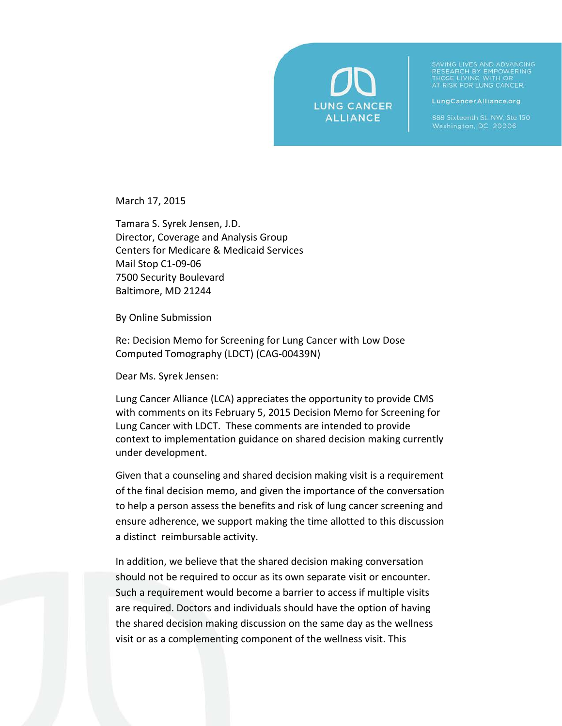

SAVING LIVES AND ADVANCING<br>RESEARCH BY EMPOWERING<br>THOSE LIVING WITH OR AT RISK FOR LUNG CANCER.

LungCancerAlliance.org

March 17, 2015

Tamara S. Syrek Jensen, J.D. Director, Coverage and Analysis Group Centers for Medicare & Medicaid Services Mail Stop C1-09-06 7500 Security Boulevard Baltimore, MD 21244

By Online Submission

Re: Decision Memo for Screening for Lung Cancer with Low Dose Computed Tomography (LDCT) (CAG-00439N)

Dear Ms. Syrek Jensen:

Lung Cancer Alliance (LCA) appreciates the opportunity to provide CMS with comments on its February 5, 2015 Decision Memo for Screening for Lung Cancer with LDCT. These comments are intended to provide context to implementation guidance on shared decision making currently under development.

Given that a counseling and shared decision making visit is a requirement of the final decision memo, and given the importance of the conversation to help a person assess the benefits and risk of lung cancer screening and ensure adherence, we support making the time allotted to this discussion a distinct reimbursable activity.

In addition, we believe that the shared decision making conversation should not be required to occur as its own separate visit or encounter. Such a requirement would become a barrier to access if multiple visits are required. Doctors and individuals should have the option of having the shared decision making discussion on the same day as the wellness visit or as a complementing component of the wellness visit. This